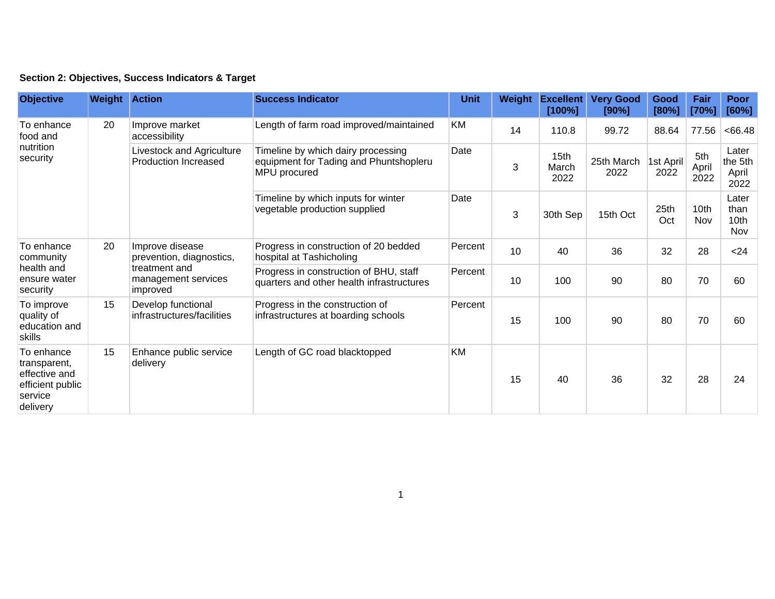| Section 2: Objectives, Success Indicators & Target |  |  |  |  |  |  |
|----------------------------------------------------|--|--|--|--|--|--|
|----------------------------------------------------|--|--|--|--|--|--|

| <b>Objective</b>                                                                       | <b>Weight Action</b> |                                                                                                 | <b>Success Indicator</b>                                                                     | <b>Unit</b> | Weight | <b>Excellent</b><br>[100%] | <b>Very Good</b><br>[90%] | Good<br>[80%]     | Fair<br>[70%]        | <b>Poor</b><br>[60%]              |
|----------------------------------------------------------------------------------------|----------------------|-------------------------------------------------------------------------------------------------|----------------------------------------------------------------------------------------------|-------------|--------|----------------------------|---------------------------|-------------------|----------------------|-----------------------------------|
| To enhance<br>food and<br>nutrition<br>security                                        | 20                   | Improve market<br>accessibility                                                                 | Length of farm road improved/maintained                                                      | <b>KM</b>   | 14     | 110.8                      | 99.72                     | 88.64             | 77.56                | <66.48                            |
|                                                                                        |                      | Livestock and Agriculture<br><b>Production Increased</b>                                        | Timeline by which dairy processing<br>equipment for Tading and Phuntshopleru<br>MPU procured | Date        | 3      | 15th<br>March<br>2022      | 25th March<br>2022        | 1st April<br>2022 | 5th<br>April<br>2022 | Later<br>the 5th<br>April<br>2022 |
|                                                                                        |                      |                                                                                                 | Timeline by which inputs for winter<br>vegetable production supplied                         | Date        | 3      | 30th Sep                   | 15th Oct                  | 25th<br>Oct       | 10th<br><b>Nov</b>   | Later<br>than<br>10th<br>Nov      |
| To enhance<br>community<br>health and<br>ensure water<br>security                      | 20                   | Improve disease<br>prevention, diagnostics,<br>treatment and<br>management services<br>improved | Progress in construction of 20 bedded<br>hospital at Tashicholing                            | Percent     | 10     | 40                         | 36                        | 32                | 28                   | $24$                              |
|                                                                                        |                      |                                                                                                 | Progress in construction of BHU, staff<br>quarters and other health infrastructures          | Percent     | 10     | 100                        | 90                        | 80                | 70                   | 60                                |
| To improve<br>quality of<br>education and<br>skills                                    | 15                   | Develop functional<br>infrastructures/facilities                                                | Progress in the construction of<br>infrastructures at boarding schools                       | Percent     | 15     | 100                        | 90                        | 80                | 70                   | 60                                |
| To enhance<br>transparent,<br>effective and<br>efficient public<br>service<br>delivery | 15                   | Enhance public service<br>delivery                                                              | Length of GC road blacktopped                                                                | <b>KM</b>   | 15     | 40                         | 36                        | 32                | 28                   | 24                                |